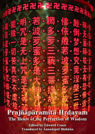Prajñāpāramitā-Hrdavam The Heart of the Perfection of Wisdom

**Edited by Edward Conze** Translated by Anandajoti Bhikkhu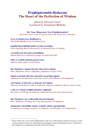# **Prajñāpāramitā-Hṛdayam The Heart of the Perfection of Wisdom**

edited by Edward Conze<sup>1</sup> translated by Ānandajoti Bhikkhu

*Oṁ! Namo Bhagavatyai Ārya-Prajñāpāramitāyai! Hail! Reverence to the Fortunate and Noble Perfection of Wisdom*

**Ārya-Avalokiteśvaro Bodhisattvo,**  The Noble Buddha-to-be Avalokiteśvara,

**gambhīrāṁ prajñāpāramitā caryāṁ caramāṇo,**  while dwelling deep in the practice of the perfection of wisdom,

**vyavalokayati sma panca-skandhāṁs**  beheld these five constituent groups (of mind and body)

## **tāṁś ca svabhāvaśūnyān paśyati sma.**

and saw them empty of self-nature.

## **Iha, Śāriputra, rūpaṁ śūnyatā, śūnyataiva rūpaṁ;**

Here, Śāriputra, form is emptiness, emptiness is surely form;

## **rūpān na pṛthak śūnyatā, śunyatāyā na pṛthag rūpaṁ;**

emptiness is not different from form, form is not different from emptiness;

## **yad rūpaṁ, sā śūnyatā; ya śūnyatā, tad rūpaṁ;**

whatever form there is, that is emptiness; whatever emptiness there is, that is form.

## **evam eva vedanā-saṁjñā-saṁskāra-vijñānaṁ.**

the same for feelings, perceptions, volitional processes and consciousness.

## **Iha, Śāriputra, sarva-dharmāḥ śūnyatā-lakṣaṇā,**

l

Here, Śāriputra, all things have the characteristic of emptiness,

## **anutpannā, aniruddhā; amalā, avimalā; anūnā, aparipūrṇāḥ.**

no arising, no ceasing; no purity, no impurity; no deficiency, no completeness.

<sup>1</sup> I have made one or two small adjustments to the text, following the notes by Jayarava in his various articles on the text: http://jayarava.blogspot.com/search?q=heart+sutra, which have also helped me to understand sections of the text better.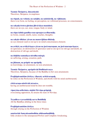## **Tasmāc Śāriputra, śūnyatāyāṁ**

Therefore, Śāriputra, in emptiness

**na rūpaṁ, na vedanā, na saṁjñā, na saṁskārāḥ, na vijñānam;** there is no form, no feeling, no perception, no volitional processes, no consciousness;

## **na cakṣuḥ-śrotra-ghrāna-jihvā-kāya-manāṁsi;**

there are no eye, ear, nose, tongue, body or mind;

## **na rūpa-śabda-gandha-rasa-spraṣṭavya-dharmāḥ;**

no forms, sounds, smells, tastes, touches, thoughts;

#### **na cakṣūr-dhātur yāvan na manovijñāna-dhātuḥ;**

no eye-element (and so on) up to no mind-consciousness element;

#### **na avidyā, na avidyā-kṣayo yāvan na jarā-maraṇam, na jarā-maraṇa-kṣayo;**

no ignorance, no destruction of ignorance (and so on) up to no old age and death, no destruction of old age and death;

## **na duḥkha-samudaya-nirodha-mārgā;**

no suffering, arising, cessation, path;

## **na jñānam, na prāptir na aprāptiḥ.**

no knowledge, no attainment, no non-attainment.

## **Tasmāc Śāriputra, aprāptitvād Bodhisattvasya**

Therefore, Śāriputra, because of the Buddha-to-be's non-attainments

## **Prajñāpāramitām āśritya, viharaty acittāvaraṇaḥ,**

he relies on the Perfection of Wisdom, and dwells with his mind unobstructed,

## **cittāvaraṇa-nāstitvād atrastro,**

having an unobstructed mind he does not tremble,

## **viparyāsa-atikrānto, niṣṭhā-Nirvāṇa-prāptaḥ.**

overcoming opposition, he attains the state of Nirvāṇa.

## **Tryadhva-vyavasthitāḥ sarva-Buddhāḥ**

All the Buddhas abiding in the three times

## **Prajñāpāramitām āśritya**

through relying on the Perfection of Wisdom

## **anuttarāṁ Samyaksambodhim abhisambuddhāḥ.**

fully awaken to the unsurpassed Perfect and Complete Awakening.